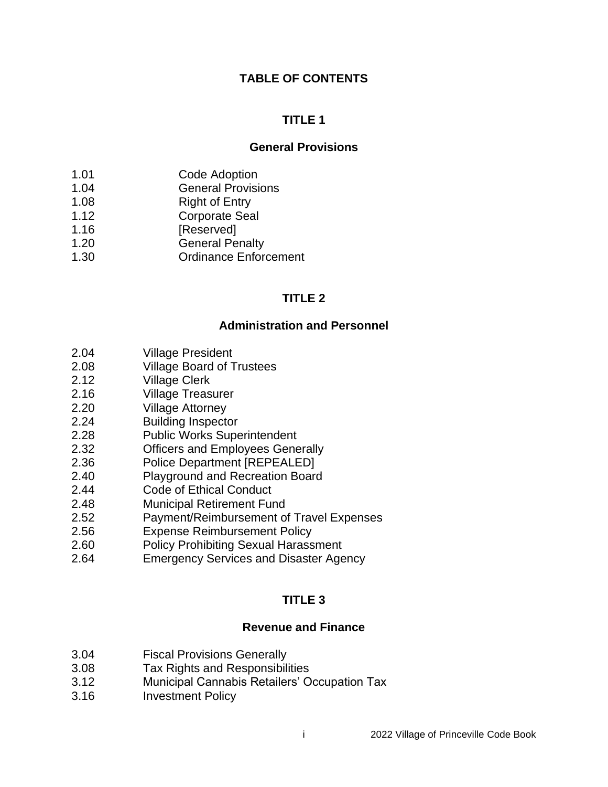#### **TABLE OF CONTENTS**

#### **TITLE 1**

#### **General Provisions**

- 1.01 Code Adoption
- 1.04 General Provisions
- 1.08 Right of Entry
- 1.12 Corporate Seal
- 1.16 [Reserved]
- 1.20 General Penalty
- 1.30 Ordinance Enforcement

### **TITLE 2**

#### **Administration and Personnel**

- 2.04 Village President
- 2.08 Village Board of Trustees
- 2.12 Village Clerk
- 2.16 Village Treasurer
- 2.20 Village Attorney
- 2.24 Building Inspector
- 2.28 Public Works Superintendent
- 2.32 Officers and Employees Generally
- 2.36 Police Department [REPEALED]
- 2.40 Playground and Recreation Board
- 2.44 Code of Ethical Conduct
- 2.48 Municipal Retirement Fund
- 2.52 Payment/Reimbursement of Travel Expenses
- 2.56 Expense Reimbursement Policy
- 2.60 Policy Prohibiting Sexual Harassment
- 2.64 Emergency Services and Disaster Agency

#### **TITLE 3**

#### **Revenue and Finance**

- 3.04 Fiscal Provisions Generally
- 3.08 Tax Rights and Responsibilities
- 3.12 Municipal Cannabis Retailers' Occupation Tax
- 3.16 Investment Policy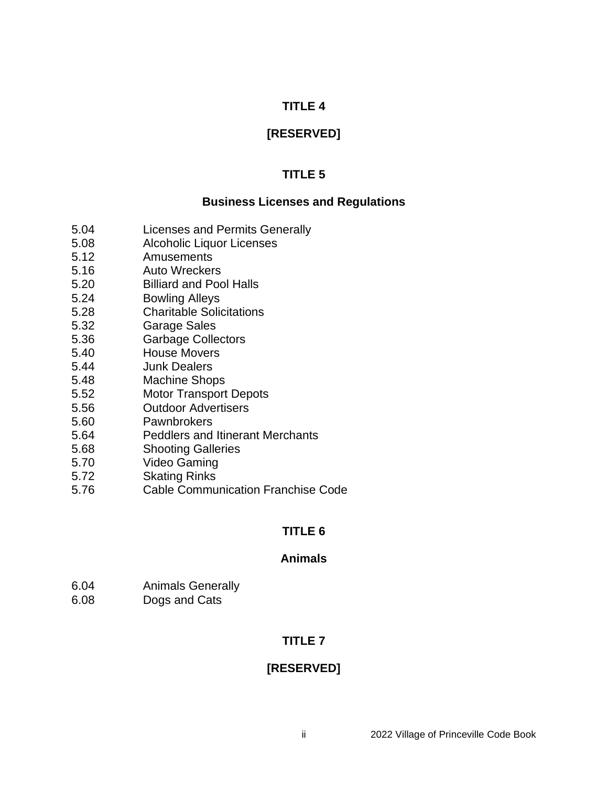## **[RESERVED]**

## **TITLE 5**

#### **Business Licenses and Regulations**

- 5.04 Licenses and Permits Generally
- 5.08 Alcoholic Liquor Licenses
- 5.12 Amusements
- 5.16 Auto Wreckers
- 5.20 Billiard and Pool Halls
- 5.24 Bowling Alleys
- 5.28 Charitable Solicitations
- 5.32 Garage Sales
- 5.36 Garbage Collectors
- 5.40 House Movers
- 5.44 Junk Dealers
- 5.48 Machine Shops
- 5.52 Motor Transport Depots
- 5.56 Outdoor Advertisers
- 5.60 Pawnbrokers
- 5.64 Peddlers and Itinerant Merchants
- 5.68 Shooting Galleries
- 5.70 Video Gaming
- 5.72 Skating Rinks
- 5.76 Cable Communication Franchise Code

### **TITLE 6**

#### **Animals**

- 6.04 Animals Generally
- 6.08 Dogs and Cats

## **TITLE 7**

# **[RESERVED]**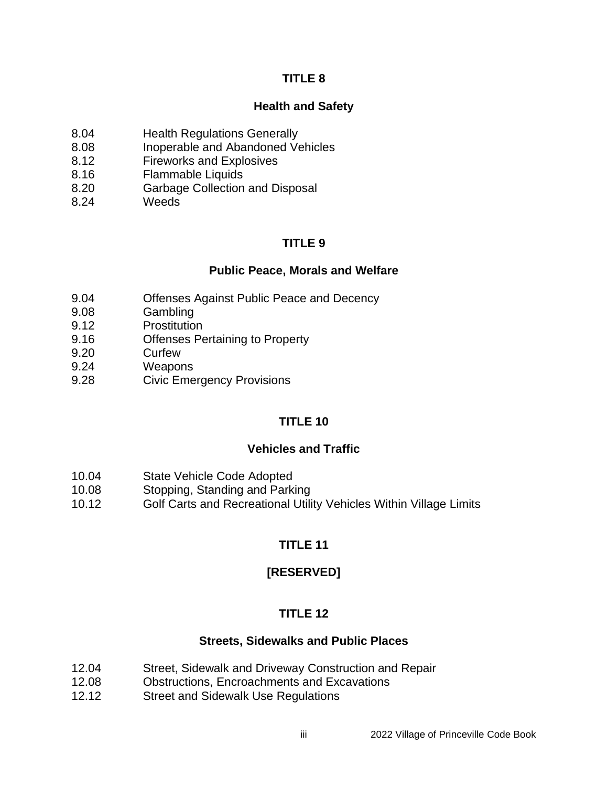#### **Health and Safety**

- 8.04 Health Regulations Generally
- 8.08 Inoperable and Abandoned Vehicles
- 8.12 Fireworks and Explosives
- 8.16 Flammable Liquids
- 8.20 Garbage Collection and Disposal
- 8.24 Weeds

## **TITLE 9**

#### **Public Peace, Morals and Welfare**

- 9.04 Offenses Against Public Peace and Decency
- 9.08 Gambling
- 9.12 Prostitution
- 9.16 Offenses Pertaining to Property
- 9.20 Curfew
- 9.24 Weapons
- 9.28 Civic Emergency Provisions

## **TITLE 10**

### **Vehicles and Traffic**

- 10.04 State Vehicle Code Adopted
- 10.08 Stopping, Standing and Parking
- 10.12 Golf Carts and Recreational Utility Vehicles Within Village Limits

# **TITLE 11**

## **[RESERVED]**

## **TITLE 12**

### **Streets, Sidewalks and Public Places**

- 12.04 Street, Sidewalk and Driveway Construction and Repair
- 12.08 Obstructions, Encroachments and Excavations
- 12.12 Street and Sidewalk Use Regulations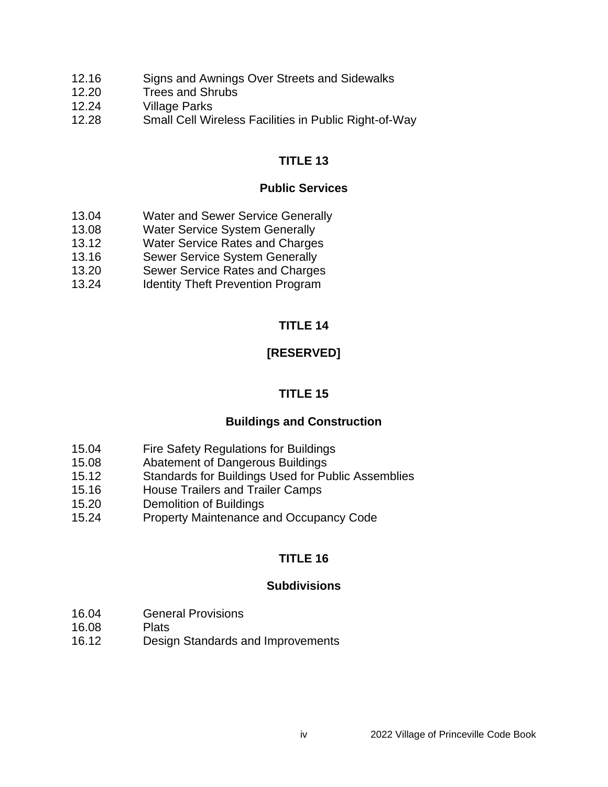- 12.16 Signs and Awnings Over Streets and Sidewalks
- 12.20 Trees and Shrubs
- 12.24 Village Parks
- 12.28 Small Cell Wireless Facilities in Public Right-of-Way

### **Public Services**

- 13.04 Water and Sewer Service Generally
- 13.08 Water Service System Generally
- 13.12 Water Service Rates and Charges
- 13.16 Sewer Service System Generally
- 13.20 Sewer Service Rates and Charges
- 13.24 Identity Theft Prevention Program

## **TITLE 14**

# **[RESERVED]**

## **TITLE 15**

### **Buildings and Construction**

- 15.04 Fire Safety Regulations for Buildings
- 15.08 Abatement of Dangerous Buildings
- 15.12 Standards for Buildings Used for Public Assemblies
- 15.16 House Trailers and Trailer Camps
- 15.20 Demolition of Buildings
- 15.24 Property Maintenance and Occupancy Code

## **TITLE 16**

### **Subdivisions**

- 16.04 General Provisions
- 16.08 Plats
- 16.12 Design Standards and Improvements